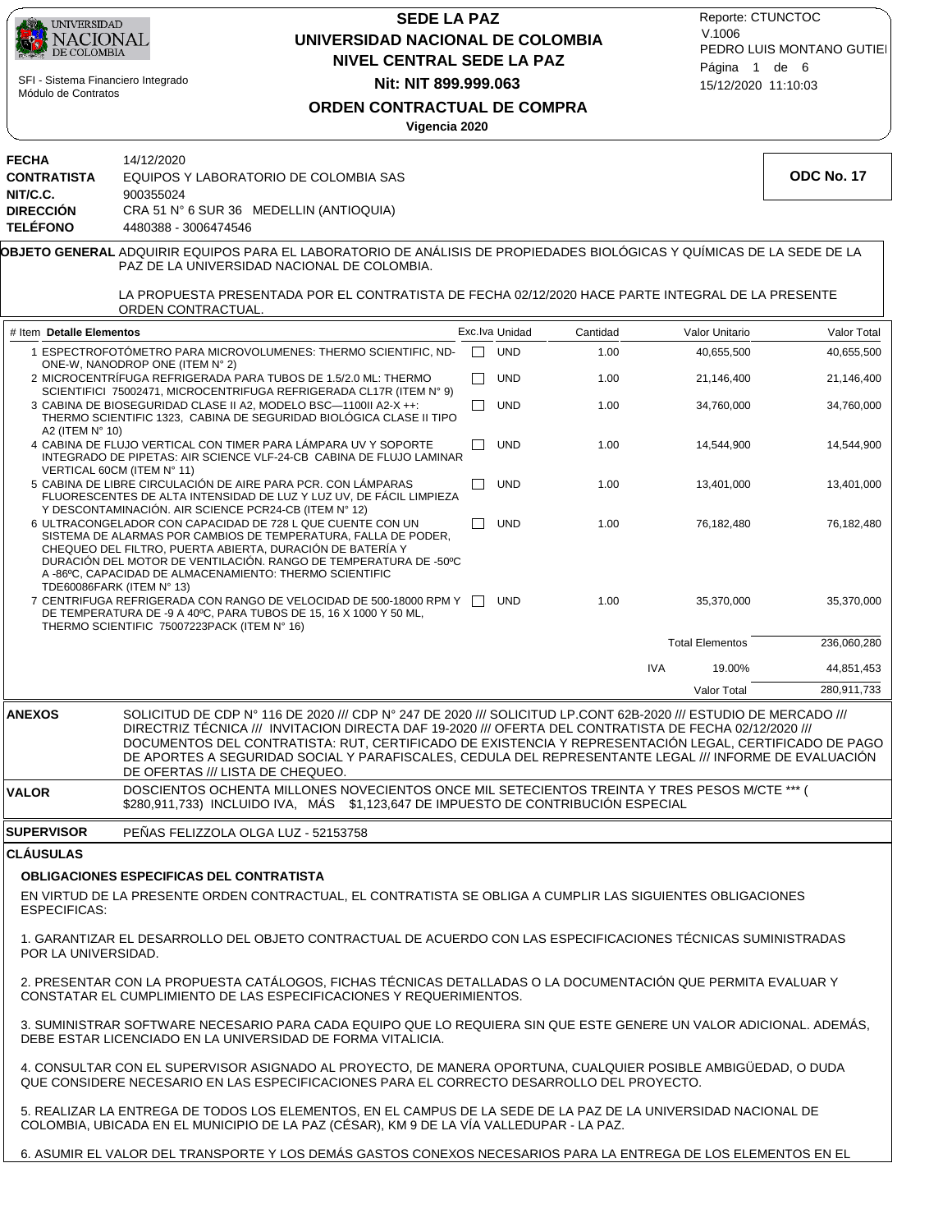

## **NIVEL CENTRAL SEDE LA PAZ SEDE LA PAZ UNIVERSIDAD NACIONAL DE COLOMBIA Nit: NIT 899.999.063**

15/12/2020 11:10:03 PEDRO LUIS MONTANO GUTIEI Reporte: CTUNCTOC V.1006 Página 1 de 6

### **ORDEN CONTRACTUAL DE COMPRA**

**Vigencia 2020**

| <b>FECHA</b>       | 14/12/2020                                                                                                        |
|--------------------|-------------------------------------------------------------------------------------------------------------------|
| <b>CONTRATISTA</b> | EQUIPOS Y LABORATORIO DE COLOMBIA SAS                                                                             |
| NIT/C.C.           | 900355024                                                                                                         |
| <b>DIRECCIÓN</b>   | CRA 51 N° 6 SUR 36 MEDELLIN (ANTIOQUIA)                                                                           |
| <b>TELÉFONO</b>    | 4480388 - 3006474546                                                                                              |
|                    | <b>IOBJETO GENERAL</b> ADQUIRIR EQUIPOS PARA EL LABORATORIO DE ANÁ<br>PAZ DE LA UNIVERSIDAD NACIONAL DE COLOMBIA. |
|                    | LA DRODUESTA DRESENTADA DOR EL CONTRATIST                                                                         |

**OBJETO GENERAL** ADQUIRIR EQUIPOS PARA EL LABORATORIO DE ANÁLISIS DE PROPIEDADES BIOLÓGICAS Y QUÍMICAS DE LA SEDE DE LA

LA PROPUESTA PRESENTADA POR EL CONTRATISTA DE FECHA 02/12/2020 HACE PARTE INTEGRAL DE LA PRESENTE ORDEN CONTRACTUAL.

| # Item Detalle Elementos                                                                                                                                                                                                                                                                                                                              |              | Exc. Iva Unidad | Cantidad |            | Valor Unitario         | Valor Total |
|-------------------------------------------------------------------------------------------------------------------------------------------------------------------------------------------------------------------------------------------------------------------------------------------------------------------------------------------------------|--------------|-----------------|----------|------------|------------------------|-------------|
| 1 ESPECTROFOTÓMETRO PARA MICROVOLUMENES: THERMO SCIENTIFIC. ND-<br>ONE-W, NANODROP ONE (ITEM N° 2)                                                                                                                                                                                                                                                    | П            | <b>UND</b>      | 1.00     |            | 40,655,500             | 40,655,500  |
| 2 MICROCENTRÍFUGA REFRIGERADA PARA TUBOS DE 1.5/2.0 ML: THERMO<br>SCIENTIFICI 75002471, MICROCENTRIFUGA REFRIGERADA CL17R (ITEM N° 9)                                                                                                                                                                                                                 | $\Box$       | <b>UND</b>      | 1.00     |            | 21,146,400             | 21,146,400  |
| 3 CABINA DE BIOSEGURIDAD CLASE II A2. MODELO BSC-1100II A2-X ++:<br>THERMO SCIENTIFIC 1323. CABINA DE SEGURIDAD BIOLÓGICA CLASE II TIPO<br>A2 (ITEM $N^{\circ}$ 10)                                                                                                                                                                                   | - 1          | <b>UND</b>      | 1.00     |            | 34,760,000             | 34,760,000  |
| 4 CABINA DE FLUJO VERTICAL CON TIMER PARA LÁMPARA UV Y SOPORTE<br>INTEGRADO DE PIPETAS: AIR SCIENCE VLF-24-CB CABINA DE FLUJO LAMINAR<br>VERTICAL 60CM (ITEM N° 11)                                                                                                                                                                                   | $\mathbf{1}$ | <b>UND</b>      | 1.00     |            | 14,544,900             | 14,544,900  |
| 5 CABINA DE LIBRE CIRCULACIÓN DE AIRE PARA PCR. CON LÁMPARAS<br>FLUORESCENTES DE ALTA INTENSIDAD DE LUZ Y LUZ UV, DE FÁCIL LIMPIEZA<br>Y DESCONTAMINACIÓN. AIR SCIENCE PCR24-CB (ITEM Nº 12)                                                                                                                                                          |              | <b>UND</b>      | 1.00     |            | 13.401.000             | 13,401,000  |
| 6 ULTRACONGELADOR CON CAPACIDAD DE 728 L QUE CUENTE CON UN<br>SISTEMA DE ALARMAS POR CAMBIOS DE TEMPERATURA. FALLA DE PODER.<br>CHEQUEO DEL FILTRO, PUERTA ABIERTA, DURACIÓN DE BATERÍA Y<br>DURACIÓN DEL MOTOR DE VENTILACIÓN. RANGO DE TEMPERATURA DE -50°C<br>A -86°C, CAPACIDAD DE ALMACENAMIENTO: THERMO SCIENTIFIC<br>TDE60086FARK (ITEM N° 13) |              | <b>UND</b>      | 1.00     |            | 76,182,480             | 76,182,480  |
| 7 CENTRIFUGA REFRIGERADA CON RANGO DE VELOCIDAD DE 500-18000 RPM Y<br>DE TEMPERATURA DE -9 A 40°C, PARA TUBOS DE 15, 16 X 1000 Y 50 ML,<br>THERMO SCIENTIFIC 75007223PACK (ITEM N° 16)                                                                                                                                                                | $\mathbf{1}$ | <b>UND</b>      | 1.00     |            | 35.370.000             | 35,370,000  |
|                                                                                                                                                                                                                                                                                                                                                       |              |                 |          |            | <b>Total Elementos</b> | 236,060,280 |
|                                                                                                                                                                                                                                                                                                                                                       |              |                 |          | <b>IVA</b> | 19.00%                 | 44,851,453  |
|                                                                                                                                                                                                                                                                                                                                                       |              |                 |          |            | <b>Valor Total</b>     | 280,911,733 |

DIRECTRIZ TÉCNICA /// INVITACION DIRECTA DAF 19-2020 /// OFERTA DEL CONTRATISTA DE FECHA 02/12/2020 /// DOCUMENTOS DEL CONTRATISTA: RUT, CERTIFICADO DE EXISTENCIA Y REPRESENTACIÓN LEGAL, CERTIFICADO DE PAGO DE APORTES A SEGURIDAD SOCIAL Y PARAFISCALES, CEDULA DEL REPRESENTANTE LEGAL /// INFORME DE EVALUACIÓN DE OFERTAS /// LISTA DE CHEQUEO.

**VALOR** DOSCIENTOS OCHENTA MILLONES NOVECIENTOS ONCE MIL SETECIENTOS TREINTA Y TRES PESOS M/CTE \*\*\* ( \$280,911,733) INCLUIDO IVA, MÁS \$1,123,647 DE IMPUESTO DE CONTRIBUCIÓN ESPECIAL

#### PEÑAS FELIZZOLA OLGA LUZ - 52153758 **SUPERVISOR**

### **CLÁUSULAS**

### **OBLIGACIONES ESPECIFICAS DEL CONTRATISTA**

EN VIRTUD DE LA PRESENTE ORDEN CONTRACTUAL, EL CONTRATISTA SE OBLIGA A CUMPLIR LAS SIGUIENTES OBLIGACIONES ESPECIFICAS:

1. GARANTIZAR EL DESARROLLO DEL OBJETO CONTRACTUAL DE ACUERDO CON LAS ESPECIFICACIONES TÉCNICAS SUMINISTRADAS POR LA UNIVERSIDAD.

2. PRESENTAR CON LA PROPUESTA CATÁLOGOS, FICHAS TÉCNICAS DETALLADAS O LA DOCUMENTACIÓN QUE PERMITA EVALUAR Y CONSTATAR EL CUMPLIMIENTO DE LAS ESPECIFICACIONES Y REQUERIMIENTOS.

3. SUMINISTRAR SOFTWARE NECESARIO PARA CADA EQUIPO QUE LO REQUIERA SIN QUE ESTE GENERE UN VALOR ADICIONAL. ADEMÁS, DEBE ESTAR LICENCIADO EN LA UNIVERSIDAD DE FORMA VITALICIA.

4. CONSULTAR CON EL SUPERVISOR ASIGNADO AL PROYECTO, DE MANERA OPORTUNA, CUALQUIER POSIBLE AMBIGÜEDAD, O DUDA QUE CONSIDERE NECESARIO EN LAS ESPECIFICACIONES PARA EL CORRECTO DESARROLLO DEL PROYECTO.

5. REALIZAR LA ENTREGA DE TODOS LOS ELEMENTOS, EN EL CAMPUS DE LA SEDE DE LA PAZ DE LA UNIVERSIDAD NACIONAL DE COLOMBIA, UBICADA EN EL MUNICIPIO DE LA PAZ (CÉSAR), KM 9 DE LA VÍA VALLEDUPAR - LA PAZ.

6. ASUMIR EL VALOR DEL TRANSPORTE Y LOS DEMÁS GASTOS CONEXOS NECESARIOS PARA LA ENTREGA DE LOS ELEMENTOS EN EL

**ODC No. 17**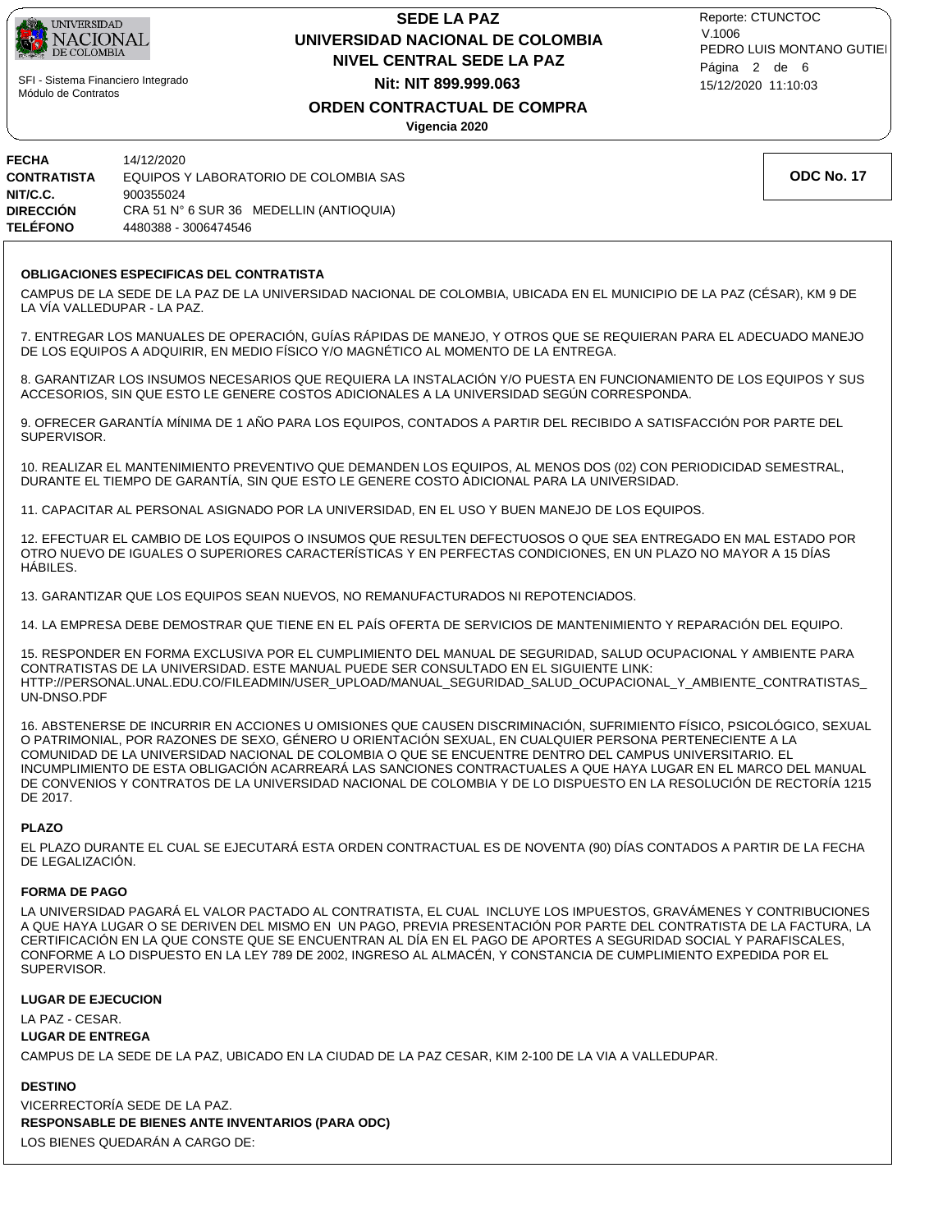

## **NIVEL CENTRAL SEDE LA PAZ SEDE LA PAZ UNIVERSIDAD NACIONAL DE COLOMBIA Nit: NIT 899.999.063**

15/12/2020 11:10:03 PEDRO LUIS MONTANO GUTIEI Reporte: CTUNCTOC V.1006 Página 2 de 6

### **ORDEN CONTRACTUAL DE COMPRA**

**Vigencia 2020**

| FECHA              | 14/12/2020                              |
|--------------------|-----------------------------------------|
| <b>CONTRATISTA</b> | EQUIPOS Y LABORATORIO DE COLOMBIA SAS   |
| NIT/C.C.           | 900355024                               |
| DIRECCIÓN          | CRA 51 N° 6 SUR 36 MEDELLIN (ANTIOQUIA) |
| <b>TELÉFONO</b>    | 4480388 - 3006474546                    |

### **OBLIGACIONES ESPECIFICAS DEL CONTRATISTA**

CAMPUS DE LA SEDE DE LA PAZ DE LA UNIVERSIDAD NACIONAL DE COLOMBIA, UBICADA EN EL MUNICIPIO DE LA PAZ (CÉSAR), KM 9 DE LA VÍA VALLEDUPAR - LA PAZ.

7. ENTREGAR LOS MANUALES DE OPERACIÓN, GUÍAS RÁPIDAS DE MANEJO, Y OTROS QUE SE REQUIERAN PARA EL ADECUADO MANEJO DE LOS EQUIPOS A ADQUIRIR, EN MEDIO FÍSICO Y/O MAGNÉTICO AL MOMENTO DE LA ENTREGA.

8. GARANTIZAR LOS INSUMOS NECESARIOS QUE REQUIERA LA INSTALACIÓN Y/O PUESTA EN FUNCIONAMIENTO DE LOS EQUIPOS Y SUS ACCESORIOS, SIN QUE ESTO LE GENERE COSTOS ADICIONALES A LA UNIVERSIDAD SEGÚN CORRESPONDA.

9. OFRECER GARANTÍA MÍNIMA DE 1 AÑO PARA LOS EQUIPOS, CONTADOS A PARTIR DEL RECIBIDO A SATISFACCIÓN POR PARTE DEL SUPERVISOR.

10. REALIZAR EL MANTENIMIENTO PREVENTIVO QUE DEMANDEN LOS EQUIPOS, AL MENOS DOS (02) CON PERIODICIDAD SEMESTRAL, DURANTE EL TIEMPO DE GARANTÍA, SIN QUE ESTO LE GENERE COSTO ADICIONAL PARA LA UNIVERSIDAD.

11. CAPACITAR AL PERSONAL ASIGNADO POR LA UNIVERSIDAD, EN EL USO Y BUEN MANEJO DE LOS EQUIPOS.

12. EFECTUAR EL CAMBIO DE LOS EQUIPOS O INSUMOS QUE RESULTEN DEFECTUOSOS O QUE SEA ENTREGADO EN MAL ESTADO POR OTRO NUEVO DE IGUALES O SUPERIORES CARACTERÍSTICAS Y EN PERFECTAS CONDICIONES, EN UN PLAZO NO MAYOR A 15 DÍAS HÁBILES.

13. GARANTIZAR QUE LOS EQUIPOS SEAN NUEVOS, NO REMANUFACTURADOS NI REPOTENCIADOS.

14. LA EMPRESA DEBE DEMOSTRAR QUE TIENE EN EL PAÍS OFERTA DE SERVICIOS DE MANTENIMIENTO Y REPARACIÓN DEL EQUIPO.

15. RESPONDER EN FORMA EXCLUSIVA POR EL CUMPLIMIENTO DEL MANUAL DE SEGURIDAD, SALUD OCUPACIONAL Y AMBIENTE PARA CONTRATISTAS DE LA UNIVERSIDAD. ESTE MANUAL PUEDE SER CONSULTADO EN EL SIGUIENTE LINK: HTTP://PERSONAL.UNAL.EDU.CO/FILEADMIN/USER\_UPLOAD/MANUAL\_SEGURIDAD\_SALUD\_OCUPACIONAL\_Y\_AMBIENTE\_CONTRATISTAS\_ UN-DNSO.PDF

16. ABSTENERSE DE INCURRIR EN ACCIONES U OMISIONES QUE CAUSEN DISCRIMINACIÓN, SUFRIMIENTO FÍSICO, PSICOLÓGICO, SEXUAL O PATRIMONIAL, POR RAZONES DE SEXO, GÉNERO U ORIENTACIÓN SEXUAL, EN CUALQUIER PERSONA PERTENECIENTE A LA COMUNIDAD DE LA UNIVERSIDAD NACIONAL DE COLOMBIA O QUE SE ENCUENTRE DENTRO DEL CAMPUS UNIVERSITARIO. EL INCUMPLIMIENTO DE ESTA OBLIGACIÓN ACARREARÁ LAS SANCIONES CONTRACTUALES A QUE HAYA LUGAR EN EL MARCO DEL MANUAL DE CONVENIOS Y CONTRATOS DE LA UNIVERSIDAD NACIONAL DE COLOMBIA Y DE LO DISPUESTO EN LA RESOLUCIÓN DE RECTORÍA 1215 DE 2017.

### **PLAZO**

EL PLAZO DURANTE EL CUAL SE EJECUTARÁ ESTA ORDEN CONTRACTUAL ES DE NOVENTA (90) DÍAS CONTADOS A PARTIR DE LA FECHA DE LEGALIZACIÓN.

### **FORMA DE PAGO**

LA UNIVERSIDAD PAGARÁ EL VALOR PACTADO AL CONTRATISTA, EL CUAL INCLUYE LOS IMPUESTOS, GRAVÁMENES Y CONTRIBUCIONES A QUE HAYA LUGAR O SE DERIVEN DEL MISMO EN UN PAGO, PREVIA PRESENTACIÓN POR PARTE DEL CONTRATISTA DE LA FACTURA, LA CERTIFICACIÓN EN LA QUE CONSTE QUE SE ENCUENTRAN AL DÍA EN EL PAGO DE APORTES A SEGURIDAD SOCIAL Y PARAFISCALES, CONFORME A LO DISPUESTO EN LA LEY 789 DE 2002, INGRESO AL ALMACÉN, Y CONSTANCIA DE CUMPLIMIENTO EXPEDIDA POR EL SUPERVISOR.

### **LUGAR DE EJECUCION**

LA PAZ - CESAR.

### **LUGAR DE ENTREGA**

CAMPUS DE LA SEDE DE LA PAZ, UBICADO EN LA CIUDAD DE LA PAZ CESAR, KIM 2-100 DE LA VIA A VALLEDUPAR.

### **DESTINO**

**RESPONSABLE DE BIENES ANTE INVENTARIOS (PARA ODC)** VICERRECTORÍA SEDE DE LA PAZ. LOS BIENES QUEDARÁN A CARGO DE:

**ODC No. 17**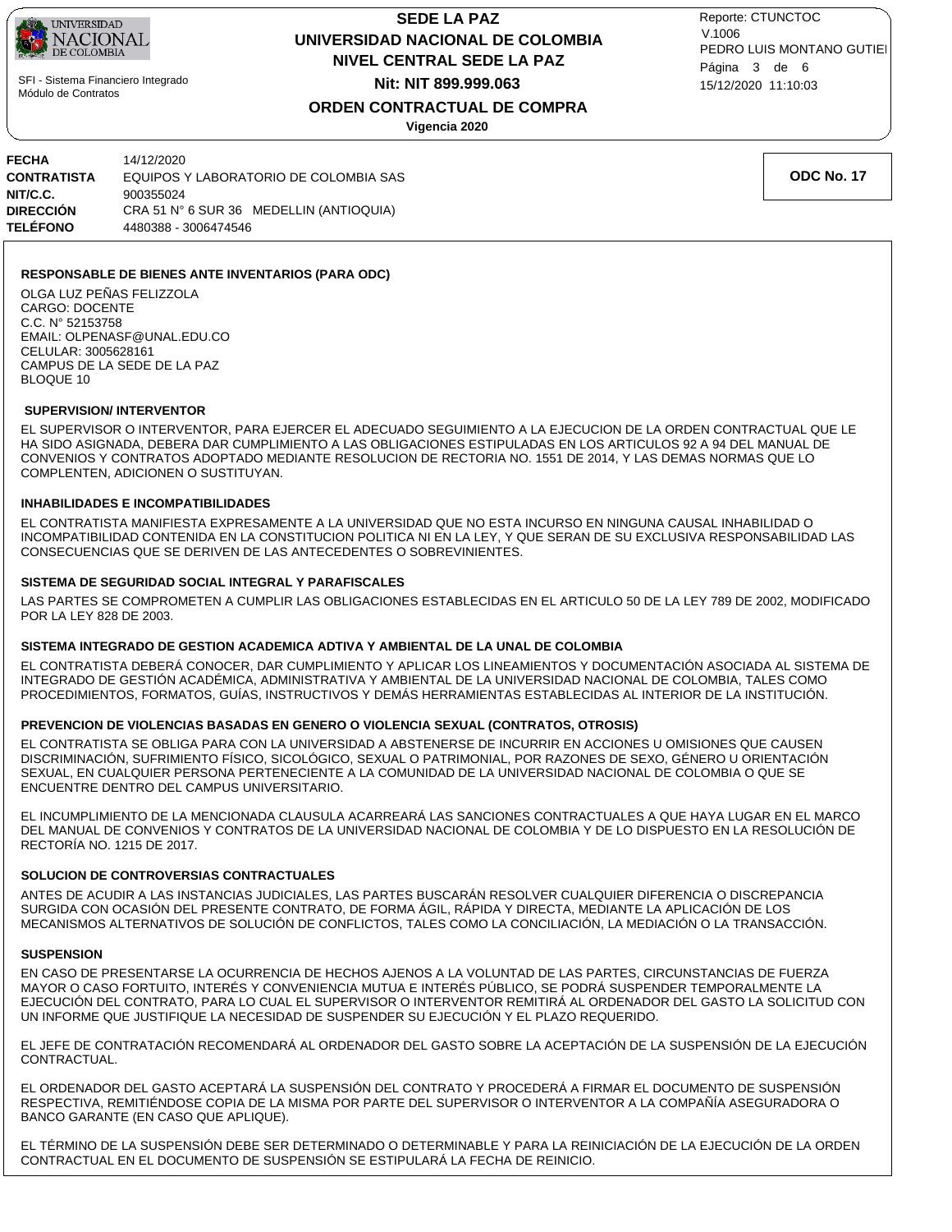

# **NIVEL CENTRAL SEDE LA PAZ SEDE LA PAZ UNIVERSIDAD NACIONAL DE COLOMBIA Nit: NIT 899.999.063**

15/12/2020 11:10:03 PEDRO LUIS MONTANO GUTIEI Reporte: CTUNCTOC V.1006 Página 3 de 6

### **ORDEN CONTRACTUAL DE COMPRA**

**Vigencia 2020**

| FECHA           | 14/12/2020                              |
|-----------------|-----------------------------------------|
| CONTRATISTA     | EQUIPOS Y LABORATORIO DE COLOMBIA SAS   |
| NIT/C.C.        | 900355024                               |
| DIRECCIÓN       | CRA 51 N° 6 SUR 36 MEDELLIN (ANTIOQUIA) |
| <b>TELÉFONO</b> | 4480388 - 3006474546                    |

**RESPONSABLE DE BIENES ANTE INVENTARIOS (PARA ODC)**

OLGA LUZ PEÑAS FELIZZOLA CARGO: DOCENTE C.C. N° 52153758 EMAIL: OLPENASF@UNAL.EDU.CO CELULAR: 3005628161 CAMPUS DE LA SEDE DE LA PAZ BLOQUE 10

### **SUPERVISION/ INTERVENTOR**

EL SUPERVISOR O INTERVENTOR, PARA EJERCER EL ADECUADO SEGUIMIENTO A LA EJECUCION DE LA ORDEN CONTRACTUAL QUE LE HA SIDO ASIGNADA, DEBERA DAR CUMPLIMIENTO A LAS OBLIGACIONES ESTIPULADAS EN LOS ARTICULOS 92 A 94 DEL MANUAL DE CONVENIOS Y CONTRATOS ADOPTADO MEDIANTE RESOLUCION DE RECTORIA NO. 1551 DE 2014, Y LAS DEMAS NORMAS QUE LO COMPLENTEN, ADICIONEN O SUSTITUYAN.

### **INHABILIDADES E INCOMPATIBILIDADES**

EL CONTRATISTA MANIFIESTA EXPRESAMENTE A LA UNIVERSIDAD QUE NO ESTA INCURSO EN NINGUNA CAUSAL INHABILIDAD O INCOMPATIBILIDAD CONTENIDA EN LA CONSTITUCION POLITICA NI EN LA LEY, Y QUE SERAN DE SU EXCLUSIVA RESPONSABILIDAD LAS CONSECUENCIAS QUE SE DERIVEN DE LAS ANTECEDENTES O SOBREVINIENTES.

### **SISTEMA DE SEGURIDAD SOCIAL INTEGRAL Y PARAFISCALES**

LAS PARTES SE COMPROMETEN A CUMPLIR LAS OBLIGACIONES ESTABLECIDAS EN EL ARTICULO 50 DE LA LEY 789 DE 2002, MODIFICADO POR LA LEY 828 DE 2003.

### **SISTEMA INTEGRADO DE GESTION ACADEMICA ADTIVA Y AMBIENTAL DE LA UNAL DE COLOMBIA**

EL CONTRATISTA DEBERÁ CONOCER, DAR CUMPLIMIENTO Y APLICAR LOS LINEAMIENTOS Y DOCUMENTACIÓN ASOCIADA AL SISTEMA DE INTEGRADO DE GESTIÓN ACADÉMICA, ADMINISTRATIVA Y AMBIENTAL DE LA UNIVERSIDAD NACIONAL DE COLOMBIA, TALES COMO PROCEDIMIENTOS, FORMATOS, GUÍAS, INSTRUCTIVOS Y DEMÁS HERRAMIENTAS ESTABLECIDAS AL INTERIOR DE LA INSTITUCIÓN.

### **PREVENCION DE VIOLENCIAS BASADAS EN GENERO O VIOLENCIA SEXUAL (CONTRATOS, OTROSIS)**

EL CONTRATISTA SE OBLIGA PARA CON LA UNIVERSIDAD A ABSTENERSE DE INCURRIR EN ACCIONES U OMISIONES QUE CAUSEN DISCRIMINACIÓN, SUFRIMIENTO FÍSICO, SICOLÓGICO, SEXUAL O PATRIMONIAL, POR RAZONES DE SEXO, GÉNERO U ORIENTACIÓN SEXUAL, EN CUALQUIER PERSONA PERTENECIENTE A LA COMUNIDAD DE LA UNIVERSIDAD NACIONAL DE COLOMBIA O QUE SE ENCUENTRE DENTRO DEL CAMPUS UNIVERSITARIO.

EL INCUMPLIMIENTO DE LA MENCIONADA CLAUSULA ACARREARÁ LAS SANCIONES CONTRACTUALES A QUE HAYA LUGAR EN EL MARCO DEL MANUAL DE CONVENIOS Y CONTRATOS DE LA UNIVERSIDAD NACIONAL DE COLOMBIA Y DE LO DISPUESTO EN LA RESOLUCIÓN DE RECTORÍA NO. 1215 DE 2017.

#### **SOLUCION DE CONTROVERSIAS CONTRACTUALES**

ANTES DE ACUDIR A LAS INSTANCIAS JUDICIALES, LAS PARTES BUSCARÁN RESOLVER CUALQUIER DIFERENCIA O DISCREPANCIA SURGIDA CON OCASIÓN DEL PRESENTE CONTRATO, DE FORMA ÁGIL, RÁPIDA Y DIRECTA, MEDIANTE LA APLICACIÓN DE LOS MECANISMOS ALTERNATIVOS DE SOLUCIÓN DE CONFLICTOS, TALES COMO LA CONCILIACIÓN, LA MEDIACIÓN O LA TRANSACCIÓN.

### **SUSPENSION**

EN CASO DE PRESENTARSE LA OCURRENCIA DE HECHOS AJENOS A LA VOLUNTAD DE LAS PARTES, CIRCUNSTANCIAS DE FUERZA MAYOR O CASO FORTUITO, INTERÉS Y CONVENIENCIA MUTUA E INTERÉS PÚBLICO, SE PODRÁ SUSPENDER TEMPORALMENTE LA EJECUCIÓN DEL CONTRATO, PARA LO CUAL EL SUPERVISOR O INTERVENTOR REMITIRÁ AL ORDENADOR DEL GASTO LA SOLICITUD CON UN INFORME QUE JUSTIFIQUE LA NECESIDAD DE SUSPENDER SU EJECUCIÓN Y EL PLAZO REQUERIDO.

EL JEFE DE CONTRATACIÓN RECOMENDARÁ AL ORDENADOR DEL GASTO SOBRE LA ACEPTACIÓN DE LA SUSPENSIÓN DE LA EJECUCIÓN CONTRACTUAL.

EL ORDENADOR DEL GASTO ACEPTARÁ LA SUSPENSIÓN DEL CONTRATO Y PROCEDERÁ A FIRMAR EL DOCUMENTO DE SUSPENSIÓN RESPECTIVA, REMITIÉNDOSE COPIA DE LA MISMA POR PARTE DEL SUPERVISOR O INTERVENTOR A LA COMPAÑÍA ASEGURADORA O BANCO GARANTE (EN CASO QUE APLIQUE).

EL TÉRMINO DE LA SUSPENSIÓN DEBE SER DETERMINADO O DETERMINABLE Y PARA LA REINICIACIÓN DE LA EJECUCIÓN DE LA ORDEN CONTRACTUAL EN EL DOCUMENTO DE SUSPENSIÓN SE ESTIPULARÁ LA FECHA DE REINICIO.

**ODC No. 17**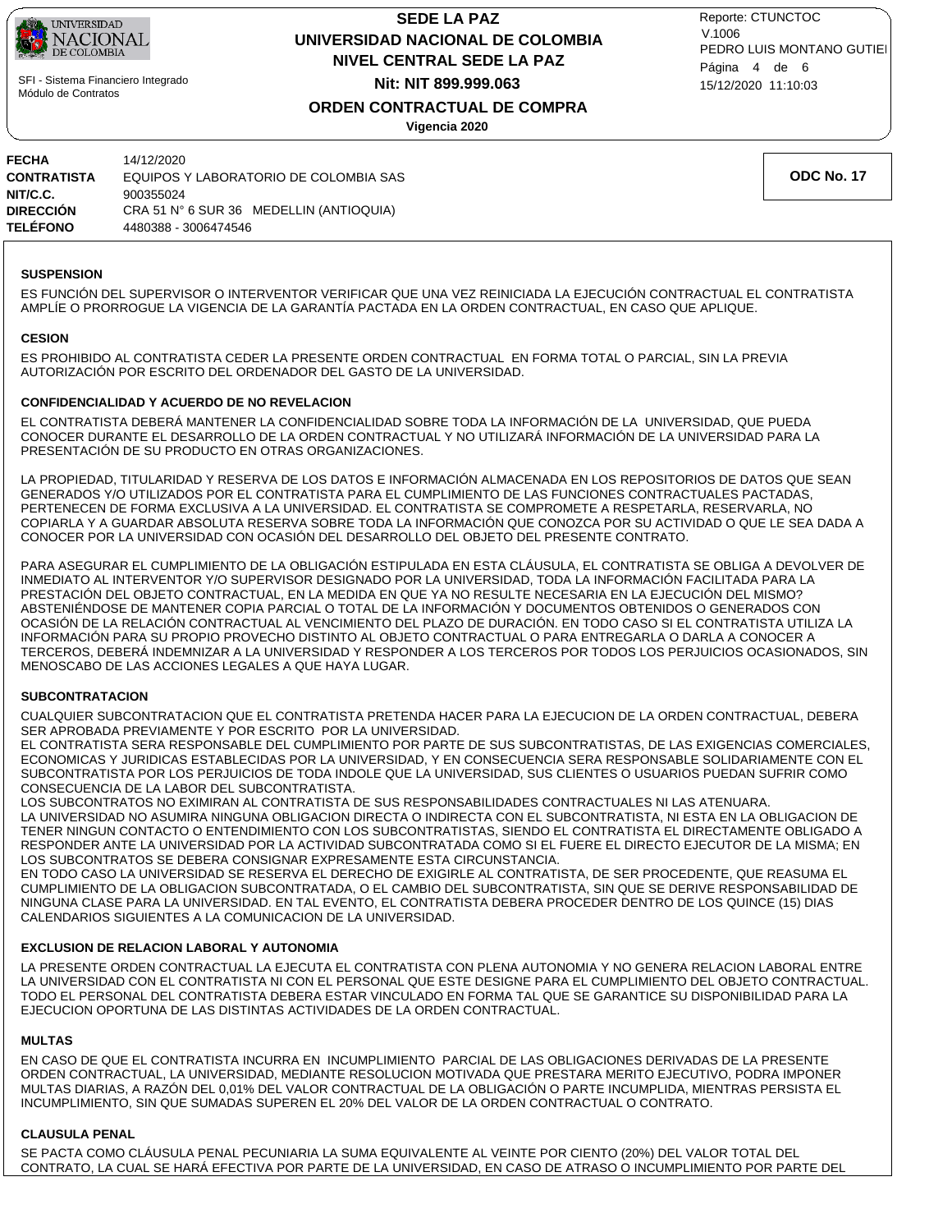

# **NIVEL CENTRAL SEDE LA PAZ SEDE LA PAZ UNIVERSIDAD NACIONAL DE COLOMBIA Nit: NIT 899.999.063**

15/12/2020 11:10:03 PEDRO LUIS MONTANO GUTIEI Reporte: CTUNCTOC V.1006 Página 4 de 6

## **ORDEN CONTRACTUAL DE COMPRA**

**Vigencia 2020**

| FECHA           | 14/12/2020                              |
|-----------------|-----------------------------------------|
| CONTRATISTA     | EQUIPOS Y LABORATORIO DE COLOMBIA SAS   |
| NIT/C.C.        | 900355024                               |
| DIRECCIÓN       | CRA 51 N° 6 SUR 36 MEDELLIN (ANTIOQUIA) |
| <b>TELÉFONO</b> | 4480388 - 3006474546                    |

**ODC No. 17**

#### **SUSPENSION**

ES FUNCIÓN DEL SUPERVISOR O INTERVENTOR VERIFICAR QUE UNA VEZ REINICIADA LA EJECUCIÓN CONTRACTUAL EL CONTRATISTA AMPLÍE O PRORROGUE LA VIGENCIA DE LA GARANTÍA PACTADA EN LA ORDEN CONTRACTUAL, EN CASO QUE APLIQUE.

#### **CESION**

ES PROHIBIDO AL CONTRATISTA CEDER LA PRESENTE ORDEN CONTRACTUAL EN FORMA TOTAL O PARCIAL, SIN LA PREVIA AUTORIZACIÓN POR ESCRITO DEL ORDENADOR DEL GASTO DE LA UNIVERSIDAD.

### **CONFIDENCIALIDAD Y ACUERDO DE NO REVELACION**

EL CONTRATISTA DEBERÁ MANTENER LA CONFIDENCIALIDAD SOBRE TODA LA INFORMACIÓN DE LA UNIVERSIDAD, QUE PUEDA CONOCER DURANTE EL DESARROLLO DE LA ORDEN CONTRACTUAL Y NO UTILIZARÁ INFORMACIÓN DE LA UNIVERSIDAD PARA LA PRESENTACIÓN DE SU PRODUCTO EN OTRAS ORGANIZACIONES.

LA PROPIEDAD, TITULARIDAD Y RESERVA DE LOS DATOS E INFORMACIÓN ALMACENADA EN LOS REPOSITORIOS DE DATOS QUE SEAN GENERADOS Y/O UTILIZADOS POR EL CONTRATISTA PARA EL CUMPLIMIENTO DE LAS FUNCIONES CONTRACTUALES PACTADAS, PERTENECEN DE FORMA EXCLUSIVA A LA UNIVERSIDAD. EL CONTRATISTA SE COMPROMETE A RESPETARLA, RESERVARLA, NO COPIARLA Y A GUARDAR ABSOLUTA RESERVA SOBRE TODA LA INFORMACIÓN QUE CONOZCA POR SU ACTIVIDAD O QUE LE SEA DADA A CONOCER POR LA UNIVERSIDAD CON OCASIÓN DEL DESARROLLO DEL OBJETO DEL PRESENTE CONTRATO.

PARA ASEGURAR EL CUMPLIMIENTO DE LA OBLIGACIÓN ESTIPULADA EN ESTA CLÁUSULA, EL CONTRATISTA SE OBLIGA A DEVOLVER DE INMEDIATO AL INTERVENTOR Y/O SUPERVISOR DESIGNADO POR LA UNIVERSIDAD, TODA LA INFORMACIÓN FACILITADA PARA LA PRESTACIÓN DEL OBJETO CONTRACTUAL, EN LA MEDIDA EN QUE YA NO RESULTE NECESARIA EN LA EJECUCIÓN DEL MISMO? ABSTENIÉNDOSE DE MANTENER COPIA PARCIAL O TOTAL DE LA INFORMACIÓN Y DOCUMENTOS OBTENIDOS O GENERADOS CON OCASIÓN DE LA RELACIÓN CONTRACTUAL AL VENCIMIENTO DEL PLAZO DE DURACIÓN. EN TODO CASO SI EL CONTRATISTA UTILIZA LA INFORMACIÓN PARA SU PROPIO PROVECHO DISTINTO AL OBJETO CONTRACTUAL O PARA ENTREGARLA O DARLA A CONOCER A TERCEROS, DEBERÁ INDEMNIZAR A LA UNIVERSIDAD Y RESPONDER A LOS TERCEROS POR TODOS LOS PERJUICIOS OCASIONADOS, SIN MENOSCABO DE LAS ACCIONES LEGALES A QUE HAYA LUGAR.

### **SUBCONTRATACION**

CUALQUIER SUBCONTRATACION QUE EL CONTRATISTA PRETENDA HACER PARA LA EJECUCION DE LA ORDEN CONTRACTUAL, DEBERA SER APROBADA PREVIAMENTE Y POR ESCRITO POR LA UNIVERSIDAD.

EL CONTRATISTA SERA RESPONSABLE DEL CUMPLIMIENTO POR PARTE DE SUS SUBCONTRATISTAS, DE LAS EXIGENCIAS COMERCIALES, ECONOMICAS Y JURIDICAS ESTABLECIDAS POR LA UNIVERSIDAD, Y EN CONSECUENCIA SERA RESPONSABLE SOLIDARIAMENTE CON EL SUBCONTRATISTA POR LOS PERJUICIOS DE TODA INDOLE QUE LA UNIVERSIDAD, SUS CLIENTES O USUARIOS PUEDAN SUFRIR COMO CONSECUENCIA DE LA LABOR DEL SUBCONTRATISTA.

LOS SUBCONTRATOS NO EXIMIRAN AL CONTRATISTA DE SUS RESPONSABILIDADES CONTRACTUALES NI LAS ATENUARA. LA UNIVERSIDAD NO ASUMIRA NINGUNA OBLIGACION DIRECTA O INDIRECTA CON EL SUBCONTRATISTA, NI ESTA EN LA OBLIGACION DE TENER NINGUN CONTACTO O ENTENDIMIENTO CON LOS SUBCONTRATISTAS, SIENDO EL CONTRATISTA EL DIRECTAMENTE OBLIGADO A RESPONDER ANTE LA UNIVERSIDAD POR LA ACTIVIDAD SUBCONTRATADA COMO SI EL FUERE EL DIRECTO EJECUTOR DE LA MISMA; EN LOS SUBCONTRATOS SE DEBERA CONSIGNAR EXPRESAMENTE ESTA CIRCUNSTANCIA.

EN TODO CASO LA UNIVERSIDAD SE RESERVA EL DERECHO DE EXIGIRLE AL CONTRATISTA, DE SER PROCEDENTE, QUE REASUMA EL CUMPLIMIENTO DE LA OBLIGACION SUBCONTRATADA, O EL CAMBIO DEL SUBCONTRATISTA, SIN QUE SE DERIVE RESPONSABILIDAD DE NINGUNA CLASE PARA LA UNIVERSIDAD. EN TAL EVENTO, EL CONTRATISTA DEBERA PROCEDER DENTRO DE LOS QUINCE (15) DIAS CALENDARIOS SIGUIENTES A LA COMUNICACION DE LA UNIVERSIDAD.

### **EXCLUSION DE RELACION LABORAL Y AUTONOMIA**

LA PRESENTE ORDEN CONTRACTUAL LA EJECUTA EL CONTRATISTA CON PLENA AUTONOMIA Y NO GENERA RELACION LABORAL ENTRE LA UNIVERSIDAD CON EL CONTRATISTA NI CON EL PERSONAL QUE ESTE DESIGNE PARA EL CUMPLIMIENTO DEL OBJETO CONTRACTUAL. TODO EL PERSONAL DEL CONTRATISTA DEBERA ESTAR VINCULADO EN FORMA TAL QUE SE GARANTICE SU DISPONIBILIDAD PARA LA EJECUCION OPORTUNA DE LAS DISTINTAS ACTIVIDADES DE LA ORDEN CONTRACTUAL.

### **MULTAS**

EN CASO DE QUE EL CONTRATISTA INCURRA EN INCUMPLIMIENTO PARCIAL DE LAS OBLIGACIONES DERIVADAS DE LA PRESENTE ORDEN CONTRACTUAL, LA UNIVERSIDAD, MEDIANTE RESOLUCION MOTIVADA QUE PRESTARA MERITO EJECUTIVO, PODRA IMPONER MULTAS DIARIAS, A RAZÓN DEL 0,01% DEL VALOR CONTRACTUAL DE LA OBLIGACIÓN O PARTE INCUMPLIDA, MIENTRAS PERSISTA EL INCUMPLIMIENTO, SIN QUE SUMADAS SUPEREN EL 20% DEL VALOR DE LA ORDEN CONTRACTUAL O CONTRATO.

### **CLAUSULA PENAL**

SE PACTA COMO CLÁUSULA PENAL PECUNIARIA LA SUMA EQUIVALENTE AL VEINTE POR CIENTO (20%) DEL VALOR TOTAL DEL CONTRATO, LA CUAL SE HARÁ EFECTIVA POR PARTE DE LA UNIVERSIDAD, EN CASO DE ATRASO O INCUMPLIMIENTO POR PARTE DEL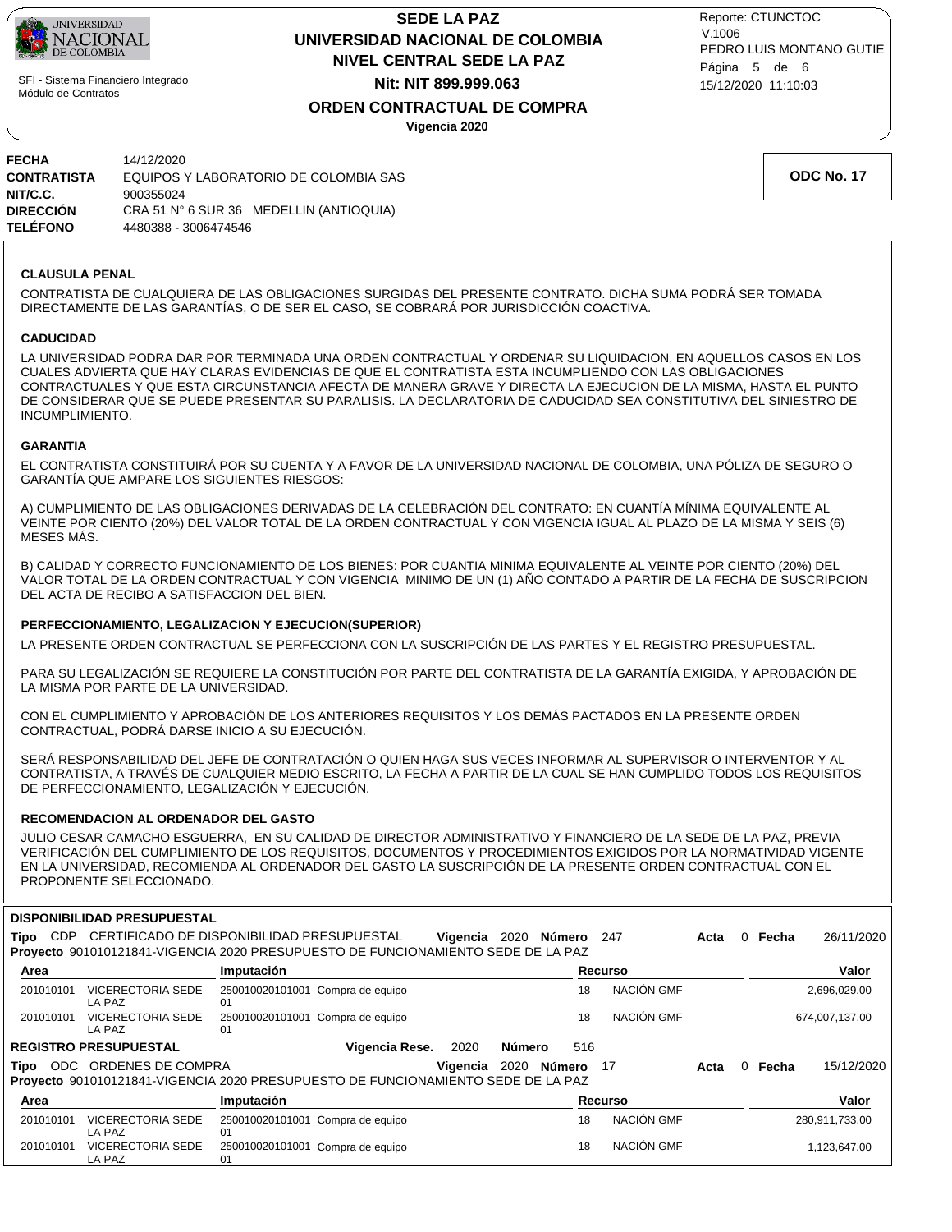

# **NIVEL CENTRAL SEDE LA PAZ SEDE LA PAZ UNIVERSIDAD NACIONAL DE COLOMBIA Nit: NIT 899.999.063**

15/12/2020 11:10:03 PEDRO LUIS MONTANO GUTIEI Reporte: CTUNCTOC V.1006 Página 5 de 6

# **ORDEN CONTRACTUAL DE COMPRA**

**Vigencia 2020**

| FECHA           | 14/12/2020                              |
|-----------------|-----------------------------------------|
| CONTRATISTA     | EQUIPOS Y LABORATORIO DE COLOMBIA SAS   |
| NIT/C.C.        | 900355024                               |
| DIRECCIÓN       | CRA 51 N° 6 SUR 36 MEDELLIN (ANTIOQUIA) |
| <b>TELÉFONO</b> | 4480388 - 3006474546                    |

**ODC No. 17**

### **CLAUSULA PENAL**

CONTRATISTA DE CUALQUIERA DE LAS OBLIGACIONES SURGIDAS DEL PRESENTE CONTRATO. DICHA SUMA PODRÁ SER TOMADA DIRECTAMENTE DE LAS GARANTÍAS, O DE SER EL CASO, SE COBRARÁ POR JURISDICCIÓN COACTIVA.

#### **CADUCIDAD**

LA UNIVERSIDAD PODRA DAR POR TERMINADA UNA ORDEN CONTRACTUAL Y ORDENAR SU LIQUIDACION, EN AQUELLOS CASOS EN LOS CUALES ADVIERTA QUE HAY CLARAS EVIDENCIAS DE QUE EL CONTRATISTA ESTA INCUMPLIENDO CON LAS OBLIGACIONES CONTRACTUALES Y QUE ESTA CIRCUNSTANCIA AFECTA DE MANERA GRAVE Y DIRECTA LA EJECUCION DE LA MISMA, HASTA EL PUNTO DE CONSIDERAR QUE SE PUEDE PRESENTAR SU PARALISIS. LA DECLARATORIA DE CADUCIDAD SEA CONSTITUTIVA DEL SINIESTRO DE INCUMPLIMIENTO.

#### **GARANTIA**

EL CONTRATISTA CONSTITUIRÁ POR SU CUENTA Y A FAVOR DE LA UNIVERSIDAD NACIONAL DE COLOMBIA, UNA PÓLIZA DE SEGURO O GARANTÍA QUE AMPARE LOS SIGUIENTES RIESGOS:

A) CUMPLIMIENTO DE LAS OBLIGACIONES DERIVADAS DE LA CELEBRACIÓN DEL CONTRATO: EN CUANTÍA MÍNIMA EQUIVALENTE AL VEINTE POR CIENTO (20%) DEL VALOR TOTAL DE LA ORDEN CONTRACTUAL Y CON VIGENCIA IGUAL AL PLAZO DE LA MISMA Y SEIS (6) MESES MÁS.

B) CALIDAD Y CORRECTO FUNCIONAMIENTO DE LOS BIENES: POR CUANTIA MINIMA EQUIVALENTE AL VEINTE POR CIENTO (20%) DEL VALOR TOTAL DE LA ORDEN CONTRACTUAL Y CON VIGENCIA MINIMO DE UN (1) AÑO CONTADO A PARTIR DE LA FECHA DE SUSCRIPCION DEL ACTA DE RECIBO A SATISFACCION DEL BIEN.

### **PERFECCIONAMIENTO, LEGALIZACION Y EJECUCION(SUPERIOR)**

LA PRESENTE ORDEN CONTRACTUAL SE PERFECCIONA CON LA SUSCRIPCIÓN DE LAS PARTES Y EL REGISTRO PRESUPUESTAL.

PARA SU LEGALIZACIÓN SE REQUIERE LA CONSTITUCIÓN POR PARTE DEL CONTRATISTA DE LA GARANTÍA EXIGIDA, Y APROBACIÓN DE LA MISMA POR PARTE DE LA UNIVERSIDAD.

CON EL CUMPLIMIENTO Y APROBACIÓN DE LOS ANTERIORES REQUISITOS Y LOS DEMÁS PACTADOS EN LA PRESENTE ORDEN CONTRACTUAL, PODRÁ DARSE INICIO A SU EJECUCIÓN.

SERÁ RESPONSABILIDAD DEL JEFE DE CONTRATACIÓN O QUIEN HAGA SUS VECES INFORMAR AL SUPERVISOR O INTERVENTOR Y AL CONTRATISTA, A TRAVÉS DE CUALQUIER MEDIO ESCRITO, LA FECHA A PARTIR DE LA CUAL SE HAN CUMPLIDO TODOS LOS REQUISITOS DE PERFECCIONAMIENTO, LEGALIZACIÓN Y EJECUCIÓN.

### **RECOMENDACION AL ORDENADOR DEL GASTO**

JULIO CESAR CAMACHO ESGUERRA, EN SU CALIDAD DE DIRECTOR ADMINISTRATIVO Y FINANCIERO DE LA SEDE DE LA PAZ, PREVIA VERIFICACIÓN DEL CUMPLIMIENTO DE LOS REQUISITOS, DOCUMENTOS Y PROCEDIMIENTOS EXIGIDOS POR LA NORMATIVIDAD VIGENTE EN LA UNIVERSIDAD, RECOMIENDA AL ORDENADOR DEL GASTO LA SUSCRIPCIÓN DE LA PRESENTE ORDEN CONTRACTUAL CON EL PROPONENTE SELECCIONADO.

### **DISPONIBILIDAD PRESUPUESTAL**

| <b>CDP</b><br>Tipo | CERTIFICADO DE DISPONIBILIDAD PRESUPUESTAL<br>Provecto 901010121841-VIGENCIA 2020 PRESUPUESTO DE FUNCIONAMIENTO SEDE DE LA PAZ |                                        |                                  | Vigencia | 2020   | Número      | 247        | Acta | 0        | Fecha | 26/11/2020     |
|--------------------|--------------------------------------------------------------------------------------------------------------------------------|----------------------------------------|----------------------------------|----------|--------|-------------|------------|------|----------|-------|----------------|
| Area               |                                                                                                                                | Imputación                             |                                  |          |        |             | Recurso    |      |          |       | Valor          |
| 201010101          | <b>VICERECTORIA SEDE</b><br>LA PAZ                                                                                             | 250010020101001 Compra de equipo<br>01 |                                  |          |        | 18          | NACIÓN GMF |      |          |       | 2,696,029.00   |
| 201010101          | <b>VICERECTORIA SEDE</b><br>LA PAZ                                                                                             | 01                                     | 250010020101001 Compra de equipo |          |        | 18          | NACIÓN GMF |      |          |       | 674,007,137.00 |
|                    | <b>REGISTRO PRESUPUESTAL</b>                                                                                                   |                                        | Vigencia Rese.                   | 2020     | Número | 516         |            |      |          |       |                |
| ODC<br>Tipo        | ORDENES DE COMPRA<br>Proyecto 901010121841-VIGENCIA 2020 PRESUPUESTO DE FUNCIONAMIENTO SEDE DE LA PAZ                          |                                        |                                  | Vigencia |        | 2020 Número | - 17       | Acta | $\Omega$ | Fecha | 15/12/2020     |
| Area               |                                                                                                                                | <b>Imputación</b>                      |                                  |          |        |             | Recurso    |      |          |       | Valor          |
| 201010101          | <b>VICERECTORIA SEDE</b><br>LA PAZ                                                                                             | 01                                     | 250010020101001 Compra de equipo |          |        | 18          | NACIÓN GMF |      |          |       | 280,911,733.00 |
| 201010101          | VICERECTORIA SEDE<br>LA PAZ                                                                                                    | 01                                     | 250010020101001 Compra de equipo |          |        | 18          | NACIÓN GMF |      |          |       | 1,123,647.00   |